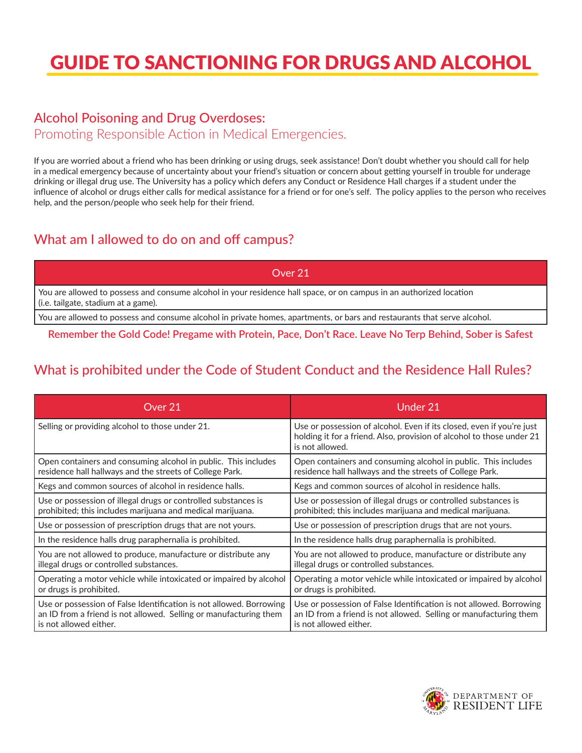# GUIDE TO SANCTIONING FOR DRUGS AND ALCOHOL

#### Alcohol Poisoning and Drug Overdoses:

Promoting Responsible Action in Medical Emergencies.

If you are worried about a friend who has been drinking or using drugs, seek assistance! Don't doubt whether you should call for help in a medical emergency because of uncertainty about your friend's situation or concern about getting yourself in trouble for underage drinking or illegal drug use. The University has a policy which defers any Conduct or Residence Hall charges if a student under the influence of alcohol or drugs either calls for medical assistance for a friend or for one's self. The policy applies to the person who receives help, and the person/people who seek help for their friend.

### What am I allowed to do on and off campus?

Over 21

You are allowed to possess and consume alcohol in your residence hall space, or on campus in an authorized location (i.e. tailgate, stadium at a game).

You are allowed to possess and consume alcohol in private homes, apartments, or bars and restaurants that serve alcohol.

**Remember the Gold Code! Pregame with Protein, Pace, Don't Race. Leave No Terp Behind, Sober is Safest**

# What is prohibited under the Code of Student Conduct and the Residence Hall Rules?

| Over 21                                                             | Under 21                                                                                                                                                          |
|---------------------------------------------------------------------|-------------------------------------------------------------------------------------------------------------------------------------------------------------------|
| Selling or providing alcohol to those under 21.                     | Use or possession of alcohol. Even if its closed, even if you're just<br>holding it for a friend. Also, provision of alcohol to those under 21<br>is not allowed. |
| Open containers and consuming alcohol in public. This includes      | Open containers and consuming alcohol in public. This includes                                                                                                    |
| residence hall hallways and the streets of College Park.            | residence hall hallways and the streets of College Park.                                                                                                          |
| Kegs and common sources of alcohol in residence halls.              | Kegs and common sources of alcohol in residence halls.                                                                                                            |
| Use or possession of illegal drugs or controlled substances is      | Use or possession of illegal drugs or controlled substances is                                                                                                    |
| prohibited; this includes marijuana and medical marijuana.          | prohibited; this includes marijuana and medical marijuana.                                                                                                        |
| Use or possession of prescription drugs that are not yours.         | Use or possession of prescription drugs that are not yours.                                                                                                       |
| In the residence halls drug paraphernalia is prohibited.            | In the residence halls drug paraphernalia is prohibited.                                                                                                          |
| You are not allowed to produce, manufacture or distribute any       | You are not allowed to produce, manufacture or distribute any                                                                                                     |
| illegal drugs or controlled substances.                             | illegal drugs or controlled substances.                                                                                                                           |
| Operating a motor vehicle while intoxicated or impaired by alcohol  | Operating a motor vehicle while intoxicated or impaired by alcohol                                                                                                |
| or drugs is prohibited.                                             | or drugs is prohibited.                                                                                                                                           |
| Use or possession of False Identification is not allowed. Borrowing | Use or possession of False Identification is not allowed. Borrowing                                                                                               |
| an ID from a friend is not allowed. Selling or manufacturing them   | an ID from a friend is not allowed. Selling or manufacturing them                                                                                                 |
| is not allowed either.                                              | is not allowed either.                                                                                                                                            |